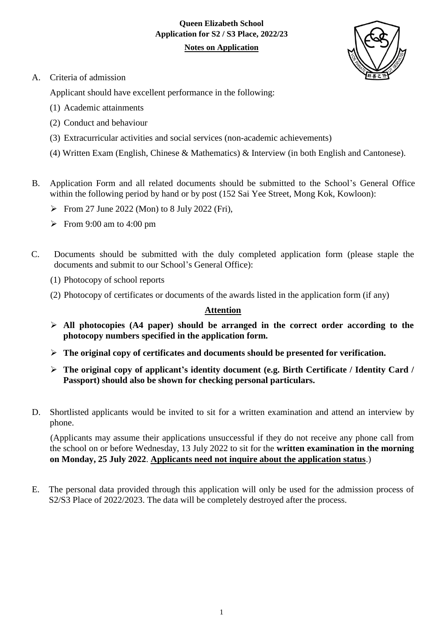# **Queen Elizabeth School Application for S2 / S3 Place, 2022/23**

# **Notes on Application**



A. Criteria of admission

Applicant should have excellent performance in the following:

- (1) Academic attainments
- (2) Conduct and behaviour
- (3) Extracurricular activities and social services (non-academic achievements)
- (4) Written Exam (English, Chinese & Mathematics) & Interview (in both English and Cantonese).
- B. Application Form and all related documents should be submitted to the School's General Office within the following period by hand or by post (152 Sai Yee Street, Mong Kok, Kowloon):
	- From 27 June 2022 (Mon) to 8 July 2022 (Fri),
	- From 9:00 am to 4:00 pm
- C. Documents should be submitted with the duly completed application form (please staple the documents and submit to our School's General Office):
	- (1) Photocopy of school reports
	- (2) Photocopy of certificates or documents of the awards listed in the application form (if any)

# **Attention**

- **All photocopies (A4 paper) should be arranged in the correct order according to the photocopy numbers specified in the application form.**
- **The original copy of certificates and documents should be presented for verification.**
- **The original copy of applicant's identity document (e.g. Birth Certificate / Identity Card / Passport) should also be shown for checking personal particulars.**
- D. Shortlisted applicants would be invited to sit for a written examination and attend an interview by phone.

(Applicants may assume their applications unsuccessful if they do not receive any phone call from the school on or before Wednesday, 13 July 2022 to sit for the **written examination in the morning on Monday, 25 July 2022**. **Applicants need not inquire about the application status**.)

E. The personal data provided through this application will only be used for the admission process of S2/S3 Place of 2022/2023. The data will be completely destroyed after the process.